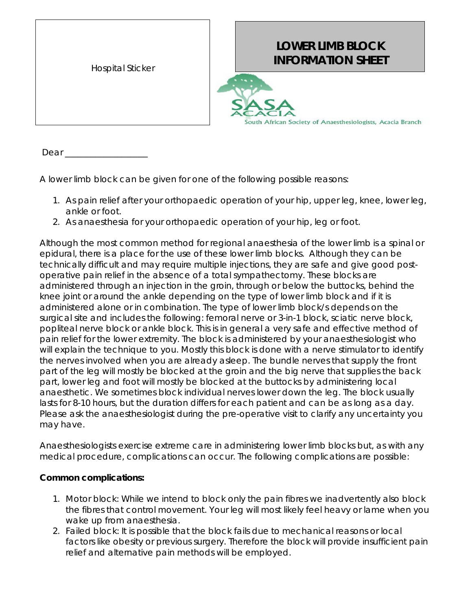| <b>Hospital Sticker</b> |
|-------------------------|
|                         |

## **LOWER LIMB BLOCK INFORMATION SHEET**



Dear \_\_

A lower limb block can be given for one of the following possible reasons:

- 1. As pain relief after your orthopaedic operation of your hip, upper leg, knee, lower leg, ankle or foot.
- 2. As anaesthesia for your orthopaedic operation of your hip, leg or foot.

Although the most common method for regional anaesthesia of the lower limb is a spinal or epidural, there is a place for the use of these lower limb blocks. Although they can be technically difficult and may require multiple injections, they are safe and give good postoperative pain relief in the absence of a total sympathectomy. These blocks are administered through an injection in the groin, through or below the buttocks, behind the knee joint or around the ankle depending on the type of lower limb block and if it is administered alone or in combination. The type of lower limb block/s depends on the surgical site and includes the following: femoral nerve or 3-in-1 block, sciatic nerve block, popliteal nerve block or ankle block. This is in general a very safe and effective method of pain relief for the lower extremity. The block is administered by your anaesthesiologist who will explain the technique to you. Mostly this block is done with a nerve stimulator to identify the nerves involved when you are already asleep. The bundle nerves that supply the front part of the leg will mostly be blocked at the groin and the big nerve that supplies the back part, lower leg and foot will mostly be blocked at the buttocks by administering local anaesthetic. We sometimes block individual nerves lower down the leg. The block usually lasts for 8-10 hours, but the duration differs for each patient and can be as long as a day. Please ask the anaesthesiologist during the pre-operative visit to clarify any uncertainty you may have.

Anaesthesiologists exercise extreme care in administering lower limb blocks but, as with any medical procedure, complications can occur. The following complications are possible:

## **Common complications:**

- 1. *Motor block*: While we intend to block only the pain fibres we inadvertently also block the fibres that control movement. Your leg will most likely feel heavy or lame when you wake up from anaesthesia.
- 2. *Failed block:* It is possible that the block fails due to mechanical reasons or local factors like obesity or previous surgery. Therefore the block will provide insufficient pain relief and alternative pain methods will be employed.